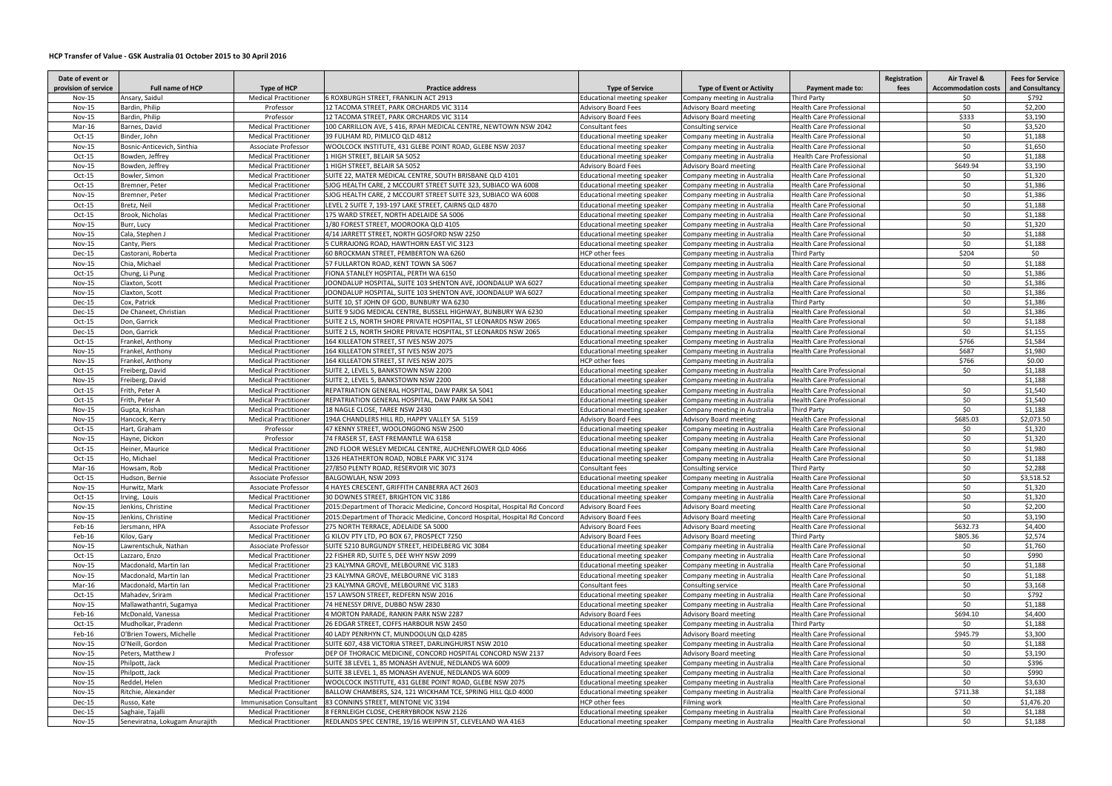## **HCP Transfer of Value - GSK Australia 01 October 2015 to 30 April 2016**

| Date of event or     |                                |                                |                                                                              |                                    |                                  |                                 | Registration | Air Travel &               | <b>Fees for Service</b> |
|----------------------|--------------------------------|--------------------------------|------------------------------------------------------------------------------|------------------------------------|----------------------------------|---------------------------------|--------------|----------------------------|-------------------------|
| provision of service | <b>Full name of HCP</b>        | Type of HCP                    | <b>Practice address</b>                                                      | <b>Type of Service</b>             | <b>Type of Event or Activity</b> | Payment made to:                | fees         | <b>Accommodation costs</b> | and Consultancy         |
| Nov-15               | Ansary, Saidul                 | <b>Medical Practitioner</b>    | 6 ROXBURGH STREET, FRANKLIN ACT 2913                                         | <b>Educational meeting speaker</b> | Company meeting in Australia     | <b>Third Party</b>              |              | \$0                        | \$792                   |
| <b>Nov-15</b>        | Bardin, Philip                 | Professor                      | 12 TACOMA STREET, PARK ORCHARDS VIC 3114                                     | <b>Advisory Board Fees</b>         | <b>Advisory Board meeting</b>    | <b>Health Care Professional</b> |              | \$0                        | \$2,200                 |
| Nov-15               | Bardin, Philip                 | Professor                      | 12 TACOMA STREET, PARK ORCHARDS VIC 3114                                     | <b>Advisory Board Fees</b>         | <b>Advisory Board meeting</b>    | <b>Health Care Professional</b> |              | \$333                      | \$3,190                 |
| Mar-16               | Barnes, David                  | <b>Medical Practitioner</b>    | 100 CARRILLON AVE, S 416, RPAH MEDICAL CENTRE, NEWTOWN NSW 2042              | Consultant fees                    | Consulting service               | Health Care Professional        |              | \$0                        | \$3,520                 |
| $Oct-15$             | Binder, John                   | <b>Medical Practitioner</b>    | 39 FULHAM RD, PIMLICO QLD 4812                                               | <b>Educational meeting speaker</b> | Company meeting in Australia     | <b>Health Care Professional</b> |              | \$0                        | \$1,188                 |
| Nov-15               | Bosnic-Anticevich, Sinthia     | Associate Professor            | WOOLCOCK INSTITUTE, 431 GLEBE POINT ROAD, GLEBE NSW 2037                     | Educational meeting speaker        | Company meeting in Australia     | <b>Health Care Professional</b> |              | \$0                        | \$1,650                 |
| $Oct-15$             | Bowden, Jeffrey                | <b>Medical Practitioner</b>    | 1 HIGH STREET, BELAIR SA 5052                                                | <b>Educational meeting speaker</b> | Company meeting in Australia     | Health Care Professional        |              | \$0                        | \$1,188                 |
| Nov-15               | Bowden, Jeffrey                | <b>Medical Practitioner</b>    | 1 HIGH STREET, BELAIR SA 5052                                                | <b>Advisory Board Fees</b>         | Advisory Board meeting           | Health Care Professional        |              | \$649.94                   | \$3,190                 |
| Oct-15               | Bowler, Simon                  | <b>Medical Practitioner</b>    | SUITE 22, MATER MEDICAL CENTRE, SOUTH BRISBANE QLD 4101                      | <b>Educational meeting speaker</b> | Company meeting in Australia     | <b>Health Care Professional</b> |              | \$0                        | \$1,320                 |
| $Oct-15$             | Bremner, Peter                 | <b>Medical Practitioner</b>    | SJOG HEALTH CARE, 2 MCCOURT STREET SUITE 323, SUBIACO WA 6008                | Educational meeting speaker        | Company meeting in Australia     | <b>Health Care Professional</b> |              | \$0                        | \$1,386                 |
| Nov-15               | Bremner, Peter                 | <b>Medical Practitioner</b>    | SJOG HEALTH CARE, 2 MCCOURT STREET SUITE 323, SUBIACO WA 6008                | <b>Educational meeting speaker</b> | Company meeting in Australia     | Health Care Professional        |              | \$0                        | \$1,386                 |
| $Oct-15$             | Bretz, Neil                    | <b>Medical Practitioner</b>    | LEVEL 2 SUITE 7, 193-197 LAKE STREET, CAIRNS QLD 4870                        | Educational meeting speaker        | Company meeting in Australia     | Health Care Professional        |              | \$0                        | \$1,188                 |
| $Oct-15$             | Brook, Nicholas                | <b>Medical Practitioner</b>    | 175 WARD STREET, NORTH ADELAIDE SA 5006                                      | <b>Educational meeting speaker</b> | Company meeting in Australia     | <b>Health Care Professional</b> |              | \$0                        | \$1,188                 |
| Nov-15               | Burr, Lucy                     | <b>Medical Practitioner</b>    | 1/80 FOREST STREET, MOOROOKA QLD 4105                                        | <b>Educational meeting speaker</b> | Company meeting in Australia     | Health Care Professional        |              | \$0                        | \$1,320                 |
| Nov-15               | Cala, Stephen J                | <b>Medical Practitioner</b>    | 4/14 JARRETT STREET, NORTH GOSFORD NSW 2250                                  | <b>Educational meeting speaker</b> | Company meeting in Australia     | <b>Health Care Professional</b> |              | \$0                        | \$1,188                 |
| Nov-15               | Canty, Piers                   | <b>Medical Practitioner</b>    | 5 CURRAJONG ROAD, HAWTHORN EAST VIC 3123                                     | Educational meeting speaker        | Company meeting in Australia     | Health Care Professional        |              | \$0                        | \$1,188                 |
| Dec-15               | Castorani, Roberta             | <b>Medical Practitioner</b>    | 60 BROCKMAN STREET, PEMBERTON WA 6260                                        | <b>HCP</b> other fees              | Company meeting in Australia     | <b>Third Party</b>              |              | \$204                      | \$0                     |
| Nov-15               | Chia, Michael                  | <b>Medical Practitioner</b>    | 57 FULLARTON ROAD, KENT TOWN SA 5067                                         | Educational meeting speaker        | Company meeting in Australia     | <b>Health Care Professional</b> |              | \$0                        | \$1,188                 |
| $Oct-15$             | Chung, Li Pung                 | <b>Medical Practitioner</b>    | FIONA STANLEY HOSPITAL, PERTH WA 6150                                        | Educational meeting speaker        | Company meeting in Australia     | <b>Health Care Professional</b> |              | \$0                        | \$1,386                 |
| Nov-15               | Claxton, Scott                 | <b>Medical Practitioner</b>    | JOONDALUP HOSPITAL, SUITE 103 SHENTON AVE, JOONDALUP WA 6027                 | Educational meeting speaker        | Company meeting in Australia     | Health Care Professional        |              | \$0                        | \$1,386                 |
| Nov-15               | Claxton, Scott                 | <b>Medical Practitioner</b>    | JOONDALUP HOSPITAL, SUITE 103 SHENTON AVE, JOONDALUP WA 6027                 | Educational meeting speaker        | Company meeting in Australia     | <b>Health Care Professional</b> |              | \$0                        | \$1,386                 |
| <b>Dec-15</b>        | Cox, Patrick                   | <b>Medical Practitioner</b>    | SUITE 10, ST JOHN OF GOD, BUNBURY WA 6230                                    | Educational meeting speaker        | Company meeting in Australia     | Third Party                     |              | \$0                        | \$1,386                 |
| <b>Dec-15</b>        | De Chaneet, Christian          | <b>Medical Practitioner</b>    | SUITE 9 SJOG MEDICAL CENTRE, BUSSELL HIGHWAY, BUNBURY WA 6230                | Educational meeting speaker        | Company meeting in Australia     | <b>Health Care Professional</b> |              | \$0                        | \$1,386                 |
| $Oct-15$             | Don, Garrick                   | <b>Medical Practitioner</b>    | SUITE 2 L5, NORTH SHORE PRIVATE HOSPITAL, ST LEONARDS NSW 2065               | Educational meeting speaker        | Company meeting in Australia     | Health Care Professional        |              | \$0                        | \$1,188                 |
| Dec-15               | Don, Garrick                   | <b>Medical Practitioner</b>    | SUITE 2 L5, NORTH SHORE PRIVATE HOSPITAL, ST LEONARDS NSW 2065               | Educational meeting speaker        | Company meeting in Australia     | Health Care Professional        |              | \$0                        | \$1,155                 |
| $Oct-15$             | Frankel, Anthony               | <b>Medical Practitioner</b>    | 164 KILLEATON STREET, ST IVES NSW 2075                                       | Educational meeting speaker        | Company meeting in Australia     | Health Care Professional        |              | \$766                      | \$1,584                 |
| Nov-15               | Frankel, Anthony               | <b>Medical Practitioner</b>    | 164 KILLEATON STREET, ST IVES NSW 2075                                       | <b>Educational meeting speaker</b> | Company meeting in Australia     | Health Care Professional        |              | \$687                      | \$1,980                 |
| Nov-15               | Frankel, Anthony               | <b>Medical Practitioner</b>    | 164 KILLEATON STREET, ST IVES NSW 2075                                       | HCP other fees                     | Company meeting in Australia     |                                 |              | \$766                      | \$0.00                  |
| $Oct-15$             | Freiberg, David                | <b>Medical Practitioner</b>    | SUITE 2, LEVEL 5, BANKSTOWN NSW 2200                                         | Educational meeting speaker        | Company meeting in Australia     | <b>Health Care Professional</b> |              | \$0                        | \$1,188                 |
| Nov-15               | Freiberg, David                | <b>Medical Practitioner</b>    | SUITE 2, LEVEL 5, BANKSTOWN NSW 2200                                         | <b>Educational meeting speaker</b> | Company meeting in Australia     | Health Care Professional        |              |                            | \$1,188                 |
| $Oct-15$             | Frith, Peter A                 | <b>Medical Practitioner</b>    | REPATRIATION GENERAL HOSPITAL, DAW PARK SA 5041                              | <b>Educational meeting speaker</b> | Company meeting in Australia     | <b>Health Care Professional</b> |              | \$0                        | \$1,540                 |
| $Oct-15$             | Frith, Peter A                 | <b>Medical Practitioner</b>    | REPATRIATION GENERAL HOSPITAL, DAW PARK SA 5041                              | <b>Educational meeting speaker</b> | Company meeting in Australia     | Health Care Professional        |              | \$0                        | \$1,540                 |
| Nov-15               | Gupta, Krishan                 | <b>Medical Practitioner</b>    | 18 NAGLE CLOSE, TAREE NSW 2430                                               | Educational meeting speaker        | Company meeting in Australia     | <b>Third Party</b>              |              | \$0                        | \$1,188                 |
| Nov-15               | Hancock, Kerry                 | <b>Medical Practitioner</b>    | 194A CHANDLERS HILL RD, HAPPY VALLEY SA 5159                                 | <b>Advisory Board Fees</b>         | <b>Advisory Board meeting</b>    | <b>Health Care Professional</b> |              | \$685.03                   | \$2,073.50              |
| $Oct-15$             | Hart, Graham                   | Professor                      | 47 KENNY STREET, WOOLONGONG NSW 2500                                         | <b>Educational meeting speaker</b> | Company meeting in Australia     | Health Care Professional        |              | \$0                        | \$1,320                 |
| Nov-15               | Hayne, Dickon                  | Professor                      | 74 FRASER ST, EAST FREMANTLE WA 6158                                         | Educational meeting speaker        | Company meeting in Australia     | Health Care Professional        |              | \$0                        | \$1,320                 |
| Oct-15               | Heiner, Maurice                | <b>Medical Practitioner</b>    | 2ND FLOOR WESLEY MEDICAL CENTRE, AUCHENFLOWER QLD 4066                       | Educational meeting speaker        | Company meeting in Australia     | Health Care Professional        |              | \$0                        | \$1,980                 |
| $Oct-15$             | Ho, Michael                    | <b>Medical Practitioner</b>    | 1326 HEATHERTON ROAD, NOBLE PARK VIC 3174                                    | <b>Educational meeting speaker</b> | Company meeting in Australia     | <b>Health Care Professional</b> |              | \$0                        | \$1,188                 |
| Mar-16               | Howsam, Rob                    | <b>Medical Practitioner</b>    | 27/850 PLENTY ROAD, RESERVOIR VIC 3073                                       | Consultant fees                    | Consulting service               | Third Party                     |              | \$0                        | \$2,288                 |
| $Oct-15$             | Hudson, Bernie                 | Associate Professor            | BALGOWLAH, NSW 2093                                                          | Educational meeting speaker        | Company meeting in Australia     | <b>Health Care Professional</b> |              | \$0                        | \$3,518.52              |
| <b>Nov-15</b>        | Hurwitz, Mark                  | Associate Professor            | 4 HAYES CRESCENT, GRIFFITH CANBERRA ACT 2603                                 | Educational meeting speaker        | Company meeting in Australia     | Health Care Professional        |              | \$0                        | \$1,320                 |
| $Oct-15$             | Irving, Louis                  | <b>Medical Practitioner</b>    | 30 DOWNES STREET, BRIGHTON VIC 3186                                          | Educational meeting speaker        | Company meeting in Australia     | Health Care Professional        |              | \$0                        | \$1,320                 |
| Nov-15               | Jenkins, Christine             | <b>Medical Practitioner</b>    | 2015:Department of Thoracic Medicine, Concord Hospital, Hospital Rd Concord  | <b>Advisory Board Fees</b>         | Advisory Board meeting           | Health Care Professional        |              | \$0                        | \$2,200                 |
| Nov-15               | Jenkins, Christine             | <b>Medical Practitioner</b>    | 2015: Department of Thoracic Medicine, Concord Hospital, Hospital Rd Concord | <b>Advisory Board Fees</b>         | Advisory Board meeting           | <b>Health Care Professional</b> |              | \$0                        | \$3,190                 |
| Feb-16               | Jersmann, HPA                  | Associate Professor            | 275 NORTH TERRACE, ADELAIDE SA 5000                                          | <b>Advisory Board Fees</b>         | Advisory Board meeting           | <b>Health Care Professional</b> |              | \$632.73                   | \$4,400                 |
| Feb-16               | Kilov, Gary                    | <b>Medical Practitioner</b>    | G KILOV PTY LTD, PO BOX 67, PROSPECT 7250                                    | <b>Advisory Board Fees</b>         | <b>Advisory Board meeting</b>    | <b>Third Party</b>              |              | \$805.36                   | \$2,574                 |
| Nov-15               | Lawrentschuk, Nathan           | Associate Professor            | SUITE 5210 BURGUNDY STREET, HEIDELBERG VIC 3084                              | Educational meeting speaker        | Company meeting in Australia     | Health Care Professional        |              | \$0                        | \$1,760                 |
| $Oct-15$             | Lazzaro, Enzo                  | <b>Medical Practitioner</b>    | 22 FISHER RD, SUITE 5, DEE WHY NSW 2099                                      | Educational meeting speaker        | Company meeting in Australia     | <b>Health Care Professional</b> |              | \$0                        | \$990                   |
| Nov-15               | Macdonald, Martin Ian          | <b>Medical Practitioner</b>    | 23 KALYMNA GROVE, MELBOURNE VIC 3183                                         | Educational meeting speaker        | Company meeting in Australia     | Health Care Professional        |              | \$0                        | \$1,188                 |
| Nov-15               | Macdonald, Martin Ian          | <b>Medical Practitioner</b>    | 23 KALYMNA GROVE, MELBOURNE VIC 3183                                         | Educational meeting speaker        | Company meeting in Australia     | Health Care Professional        |              | \$0                        | \$1,188                 |
| Mar-16               | Macdonald, Martin Ian          | <b>Medical Practitioner</b>    | 23 KALYMNA GROVE, MELBOURNE VIC 3183                                         | Consultant fees                    | Consulting service               | Health Care Professional        |              | \$0                        | \$3,168                 |
| $Oct-15$             | Mahadev, Sriram                | <b>Medical Practitioner</b>    | 157 LAWSON STREET, REDFERN NSW 2016                                          | Educational meeting speaker        | Company meeting in Australia     | <b>Health Care Professional</b> |              | \$0                        | \$792                   |
| Nov-15               | Mallawathantri, Sugamya        | <b>Medical Practitioner</b>    | 74 HENESSY DRIVE, DUBBO NSW 2830                                             | Educational meeting speaker        | Company meeting in Australia     | <b>Health Care Professional</b> |              | \$0                        | \$1,188                 |
| Feb-16               | McDonald, Vanessa              | <b>Medical Practitioner</b>    | 4 MORTON PARADE, RANKIN PARK NSW 2287                                        | <b>Advisory Board Fees</b>         | <b>Advisory Board meeting</b>    | <b>Health Care Professional</b> |              | \$694.10                   | \$4,400                 |
| $Oct-15$             | Mudholkar, Pradenn             | <b>Medical Practitioner</b>    | 26 EDGAR STREET, COFFS HARBOUR NSW 2450                                      | <b>Educational meeting speaker</b> | Company meeting in Australia     | Third Party                     |              | \$0                        | \$1,188                 |
| Feb-16               | O'Brien Towers, Michelle       | <b>Medical Practitioner</b>    | 40 LADY PENRHYN CT, MUNDOOLUN QLD 4285                                       | <b>Advisory Board Fees</b>         | <b>Advisory Board meeting</b>    | <b>Health Care Professional</b> |              | \$945.79                   | \$3,300                 |
| Nov-15               | O'Neill, Gordon                | <b>Medical Practitioner</b>    | SUITE 607, 438 VICTORIA STREET, DARLINGHURST NSW 2010                        | Educational meeting speaker        | Company meeting in Australia     | <b>Health Care Professional</b> |              | \$0                        | \$1,188                 |
| Nov-15               | Peters, Matthew J              | Professor                      | DEP OF THORACIC MEDICINE, CONCORD HOSPITAL CONCORD NSW 2137                  | <b>Advisory Board Fees</b>         | Advisory Board meeting           | <b>Health Care Professional</b> |              | \$0                        | \$3,190                 |
| Nov-15               | Philpott, Jack                 | <b>Medical Practitioner</b>    | SUITE 38 LEVEL 1, 85 MONASH AVENUE, NEDLANDS WA 6009                         | Educational meeting speaker        | Company meeting in Australia     | Health Care Professional        |              | \$0                        | \$396                   |
| Nov-15               | Philpott, Jack                 | <b>Medical Practitioner</b>    | SUITE 38 LEVEL 1, 85 MONASH AVENUE, NEDLANDS WA 6009                         | Educational meeting speaker        | Company meeting in Australia     | <b>Health Care Professional</b> |              | \$0                        | \$990                   |
| Nov-15               | Reddel, Helen                  | <b>Medical Practitioner</b>    | WOOLCOCK INSTITUTE, 431 GLEBE POINT ROAD, GLEBE NSW 2075                     | <b>Educational meeting speaker</b> | Company meeting in Australia     | Health Care Professional        |              | \$0                        | \$3,630                 |
| Nov-15               | Ritchie, Alexander             | <b>Medical Practitioner</b>    | BALLOW CHAMBERS, S24, 121 WICKHAM TCE, SPRING HILL QLD 4000                  | Educational meeting speaker        | Company meeting in Australia     | Health Care Professional        |              | \$711.38                   | \$1,188                 |
| Dec-15               | Russo, Kate                    | <b>Immunisation Consultant</b> | 83 CONNINS STREET, MENTONE VIC 3194                                          | HCP other fees                     | Filming work                     | Health Care Professional        |              | \$0                        | \$1,476.20              |
| Dec-15               | Saghaie, Tajalli               | <b>Medical Practitioner</b>    | 8 FERNLEIGH CLOSE, CHERRYBROOK NSW 2126                                      | Educational meeting speaker        | Company meeting in Australia     | Health Care Professional        |              | \$0                        | \$1,188                 |
| Nov-15               | Seneviratna, Lokugam Anurajith | <b>Medical Practitioner</b>    | REDLANDS SPEC CENTRE, 19/16 WEIPPIN ST, CLEVELAND WA 4163                    | Educational meeting speaker        | Company meeting in Australia     | <b>Health Care Professional</b> |              | \$0                        | \$1,188                 |